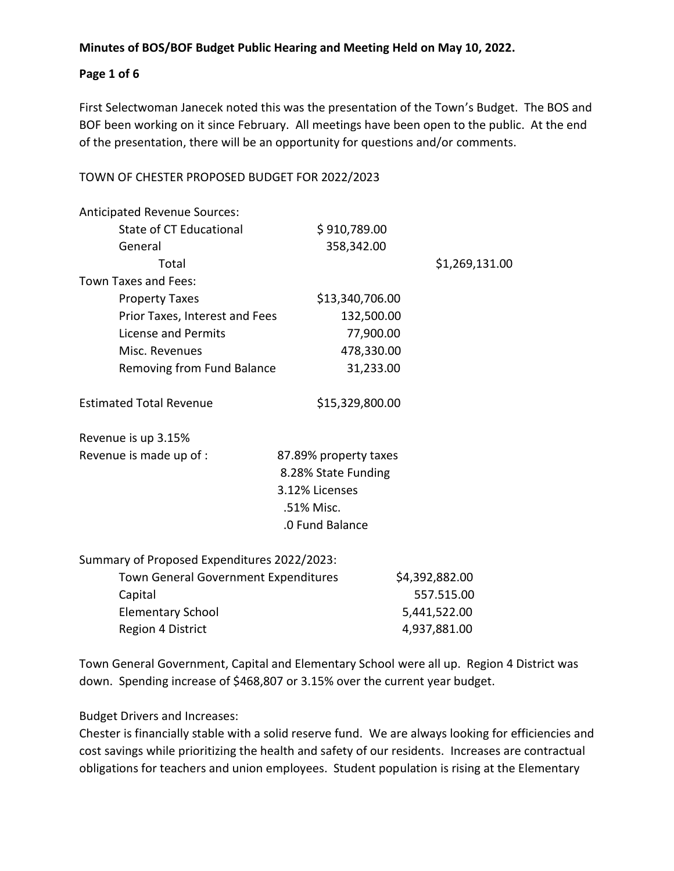# **Page 1 of 6**

First Selectwoman Janecek noted this was the presentation of the Town's Budget. The BOS and BOF been working on it since February. All meetings have been open to the public. At the end of the presentation, there will be an opportunity for questions and/or comments.

# TOWN OF CHESTER PROPOSED BUDGET FOR 2022/2023

| Anticipated Revenue Sources:                |                       |                |
|---------------------------------------------|-----------------------|----------------|
| State of CT Educational                     | \$910,789.00          |                |
| General                                     | 358,342.00            |                |
| Total                                       |                       | \$1,269,131.00 |
| Town Taxes and Fees:                        |                       |                |
| <b>Property Taxes</b>                       | \$13,340,706.00       |                |
| Prior Taxes, Interest and Fees              | 132,500.00            |                |
| License and Permits                         | 77,900.00             |                |
| Misc. Revenues                              | 478,330.00            |                |
| Removing from Fund Balance                  | 31,233.00             |                |
| <b>Estimated Total Revenue</b>              | \$15,329,800.00       |                |
| Revenue is up 3.15%                         |                       |                |
| Revenue is made up of :                     | 87.89% property taxes |                |
|                                             | 8.28% State Funding   |                |
|                                             | 3.12% Licenses        |                |
|                                             | .51% Misc.            |                |
|                                             | .0 Fund Balance       |                |
| Summary of Proposed Expenditures 2022/2023: |                       |                |
| <b>Town General Government Expenditures</b> |                       | \$4,392,882.00 |
| Capital                                     |                       | 557.515.00     |

Elementary School 5,441,522.00 Region 4 District 4,937,881.00

Town General Government, Capital and Elementary School were all up. Region 4 District was down. Spending increase of \$468,807 or 3.15% over the current year budget.

Budget Drivers and Increases:

Chester is financially stable with a solid reserve fund. We are always looking for efficiencies and cost savings while prioritizing the health and safety of our residents. Increases are contractual obligations for teachers and union employees. Student population is rising at the Elementary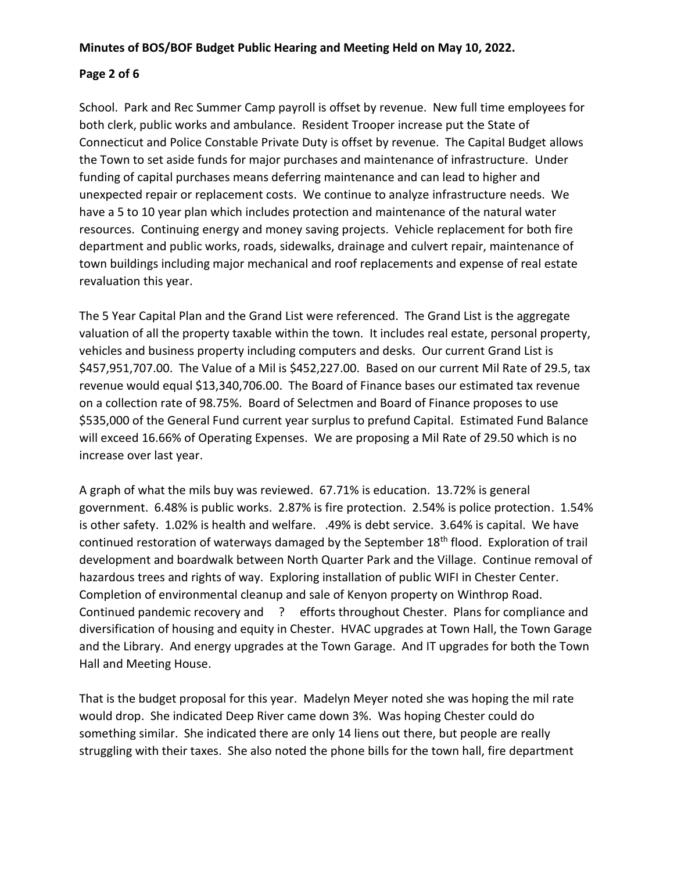# **Page 2 of 6**

School. Park and Rec Summer Camp payroll is offset by revenue. New full time employees for both clerk, public works and ambulance. Resident Trooper increase put the State of Connecticut and Police Constable Private Duty is offset by revenue. The Capital Budget allows the Town to set aside funds for major purchases and maintenance of infrastructure. Under funding of capital purchases means deferring maintenance and can lead to higher and unexpected repair or replacement costs. We continue to analyze infrastructure needs. We have a 5 to 10 year plan which includes protection and maintenance of the natural water resources. Continuing energy and money saving projects. Vehicle replacement for both fire department and public works, roads, sidewalks, drainage and culvert repair, maintenance of town buildings including major mechanical and roof replacements and expense of real estate revaluation this year.

The 5 Year Capital Plan and the Grand List were referenced. The Grand List is the aggregate valuation of all the property taxable within the town. It includes real estate, personal property, vehicles and business property including computers and desks. Our current Grand List is \$457,951,707.00. The Value of a Mil is \$452,227.00. Based on our current Mil Rate of 29.5, tax revenue would equal \$13,340,706.00. The Board of Finance bases our estimated tax revenue on a collection rate of 98.75%. Board of Selectmen and Board of Finance proposes to use \$535,000 of the General Fund current year surplus to prefund Capital. Estimated Fund Balance will exceed 16.66% of Operating Expenses. We are proposing a Mil Rate of 29.50 which is no increase over last year.

A graph of what the mils buy was reviewed. 67.71% is education. 13.72% is general government. 6.48% is public works. 2.87% is fire protection. 2.54% is police protection. 1.54% is other safety. 1.02% is health and welfare. .49% is debt service. 3.64% is capital. We have continued restoration of waterways damaged by the September 18<sup>th</sup> flood. Exploration of trail development and boardwalk between North Quarter Park and the Village. Continue removal of hazardous trees and rights of way. Exploring installation of public WIFI in Chester Center. Completion of environmental cleanup and sale of Kenyon property on Winthrop Road. Continued pandemic recovery and ? efforts throughout Chester. Plans for compliance and diversification of housing and equity in Chester. HVAC upgrades at Town Hall, the Town Garage and the Library. And energy upgrades at the Town Garage. And IT upgrades for both the Town Hall and Meeting House.

That is the budget proposal for this year. Madelyn Meyer noted she was hoping the mil rate would drop. She indicated Deep River came down 3%. Was hoping Chester could do something similar. She indicated there are only 14 liens out there, but people are really struggling with their taxes. She also noted the phone bills for the town hall, fire department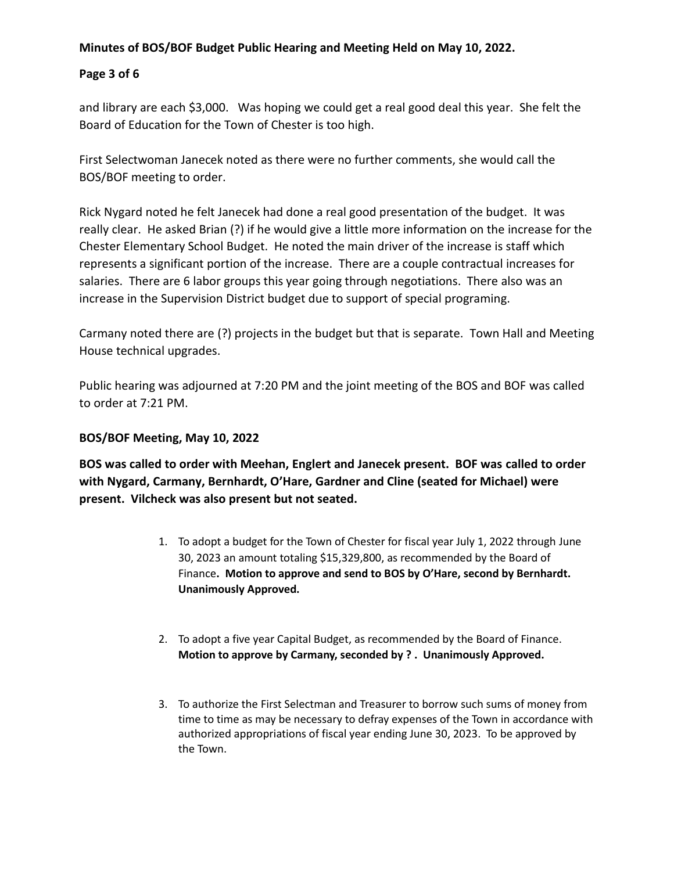# **Page 3 of 6**

and library are each \$3,000. Was hoping we could get a real good deal this year. She felt the Board of Education for the Town of Chester is too high.

First Selectwoman Janecek noted as there were no further comments, she would call the BOS/BOF meeting to order.

Rick Nygard noted he felt Janecek had done a real good presentation of the budget. It was really clear. He asked Brian (?) if he would give a little more information on the increase for the Chester Elementary School Budget. He noted the main driver of the increase is staff which represents a significant portion of the increase. There are a couple contractual increases for salaries. There are 6 labor groups this year going through negotiations. There also was an increase in the Supervision District budget due to support of special programing.

Carmany noted there are (?) projects in the budget but that is separate. Town Hall and Meeting House technical upgrades.

Public hearing was adjourned at 7:20 PM and the joint meeting of the BOS and BOF was called to order at 7:21 PM.

# **BOS/BOF Meeting, May 10, 2022**

**BOS was called to order with Meehan, Englert and Janecek present. BOF was called to order with Nygard, Carmany, Bernhardt, O'Hare, Gardner and Cline (seated for Michael) were present. Vilcheck was also present but not seated.**

- 1. To adopt a budget for the Town of Chester for fiscal year July 1, 2022 through June 30, 2023 an amount totaling \$15,329,800, as recommended by the Board of Finance**. Motion to approve and send to BOS by O'Hare, second by Bernhardt. Unanimously Approved.**
- 2. To adopt a five year Capital Budget, as recommended by the Board of Finance. **Motion to approve by Carmany, seconded by ? . Unanimously Approved.**
- 3. To authorize the First Selectman and Treasurer to borrow such sums of money from time to time as may be necessary to defray expenses of the Town in accordance with authorized appropriations of fiscal year ending June 30, 2023. To be approved by the Town.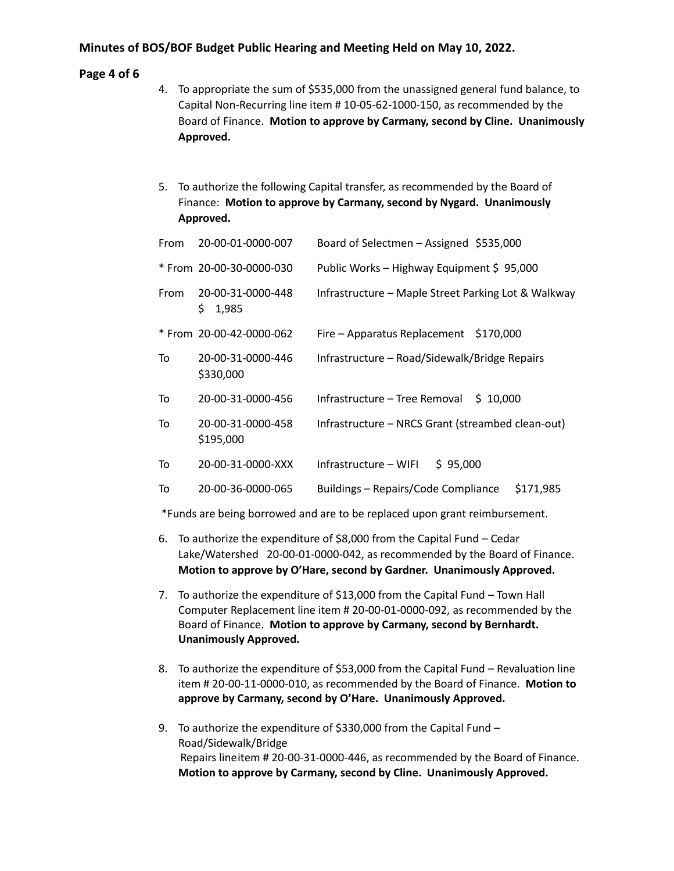#### **Page 4 of 6**

- 4. To appropriate the sum of \$535,000 from the unassigned general fund balance, to Capital Non-Recurring line item # 10-05-62-1000-150, as recommended by the Board of Finance. **Motion to approve by Carmany, second by Cline. Unanimously Approved.**
- 5. To authorize the following Capital transfer, as recommended by the Board of Finance: **Motion to approve by Carmany, second by Nygard. Unanimously Approved.**

| From | 20-00-01-0000-007                 | Board of Selectmen - Assigned \$535,000             |
|------|-----------------------------------|-----------------------------------------------------|
|      | * From 20-00-30-0000-030          | Public Works - Highway Equipment \$95,000           |
| From | 20-00-31-0000-448<br>\$.<br>1,985 | Infrastructure - Maple Street Parking Lot & Walkway |
|      | * From 20-00-42-0000-062          | Fire - Apparatus Replacement \$170,000              |
| To   | 20-00-31-0000-446<br>\$330,000    | Infrastructure - Road/Sidewalk/Bridge Repairs       |
| To   | 20-00-31-0000-456                 | Infrastructure - Tree Removal<br>\$10,000           |
| To   | 20-00-31-0000-458<br>\$195,000    | Infrastructure - NRCS Grant (streambed clean-out)   |
| To   | 20-00-31-0000-XXX                 | Infrastructure - WIFI<br>\$95,000                   |
| To   | 20-00-36-0000-065                 | Buildings - Repairs/Code Compliance<br>\$171,985    |

\*Funds are being borrowed and are to be replaced upon grant reimbursement.

- 6. To authorize the expenditure of \$8,000 from the Capital Fund Cedar Lake/Watershed 20-00-01-0000-042, as recommended by the Board of Finance. **Motion to approve by O'Hare, second by Gardner. Unanimously Approved.**
- 7. To authorize the expenditure of \$13,000 from the Capital Fund Town Hall Computer Replacement line item # 20-00-01-0000-092, as recommended by the Board of Finance. **Motion to approve by Carmany, second by Bernhardt. Unanimously Approved.**
- 8. To authorize the expenditure of \$53,000 from the Capital Fund Revaluation line item # 20-00-11-0000-010, as recommended by the Board of Finance. **Motion to approve by Carmany, second by O'Hare. Unanimously Approved.**
- 9. To authorize the expenditure of \$330,000 from the Capital Fund -Road/Sidewalk/Bridge Repairs lineitem # 20-00-31-0000-446, as recommended by the Board of Finance. **Motion to approve by Carmany, second by Cline. Unanimously Approved.**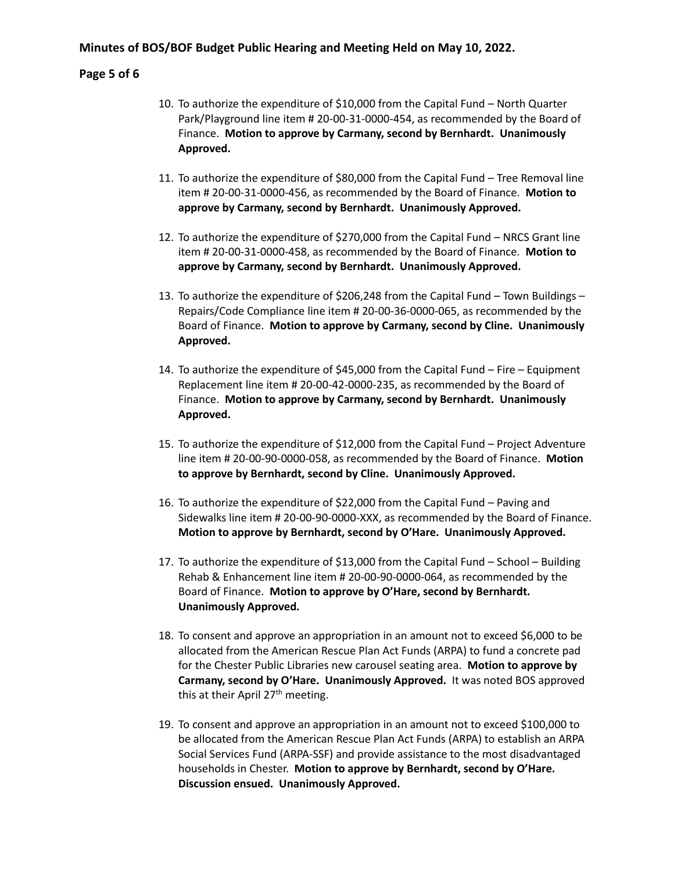#### **Page 5 of 6**

- 10. To authorize the expenditure of \$10,000 from the Capital Fund North Quarter Park/Playground line item # 20-00-31-0000-454, as recommended by the Board of Finance. **Motion to approve by Carmany, second by Bernhardt. Unanimously Approved.**
- 11. To authorize the expenditure of \$80,000 from the Capital Fund Tree Removal line item # 20-00-31-0000-456, as recommended by the Board of Finance. **Motion to approve by Carmany, second by Bernhardt. Unanimously Approved.**
- 12. To authorize the expenditure of \$270,000 from the Capital Fund NRCS Grant line item # 20-00-31-0000-458, as recommended by the Board of Finance. **Motion to approve by Carmany, second by Bernhardt. Unanimously Approved.**
- 13. To authorize the expenditure of \$206,248 from the Capital Fund Town Buildings Repairs/Code Compliance line item # 20-00-36-0000-065, as recommended by the Board of Finance. **Motion to approve by Carmany, second by Cline. Unanimously Approved.**
- 14. To authorize the expenditure of \$45,000 from the Capital Fund Fire Equipment Replacement line item # 20-00-42-0000-235, as recommended by the Board of Finance. **Motion to approve by Carmany, second by Bernhardt. Unanimously Approved.**
- 15. To authorize the expenditure of \$12,000 from the Capital Fund Project Adventure line item # 20-00-90-0000-058, as recommended by the Board of Finance. **Motion to approve by Bernhardt, second by Cline. Unanimously Approved.**
- 16. To authorize the expenditure of \$22,000 from the Capital Fund Paving and Sidewalks line item # 20-00-90-0000-XXX, as recommended by the Board of Finance. **Motion to approve by Bernhardt, second by O'Hare. Unanimously Approved.**
- 17. To authorize the expenditure of \$13,000 from the Capital Fund School Building Rehab & Enhancement line item # 20-00-90-0000-064, as recommended by the Board of Finance. **Motion to approve by O'Hare, second by Bernhardt. Unanimously Approved.**
- 18. To consent and approve an appropriation in an amount not to exceed \$6,000 to be allocated from the American Rescue Plan Act Funds (ARPA) to fund a concrete pad for the Chester Public Libraries new carousel seating area. **Motion to approve by Carmany, second by O'Hare. Unanimously Approved.** It was noted BOS approved this at their April 27<sup>th</sup> meeting.
- 19. To consent and approve an appropriation in an amount not to exceed \$100,000 to be allocated from the American Rescue Plan Act Funds (ARPA) to establish an ARPA Social Services Fund (ARPA-SSF) and provide assistance to the most disadvantaged households in Chester. **Motion to approve by Bernhardt, second by O'Hare. Discussion ensued. Unanimously Approved.**